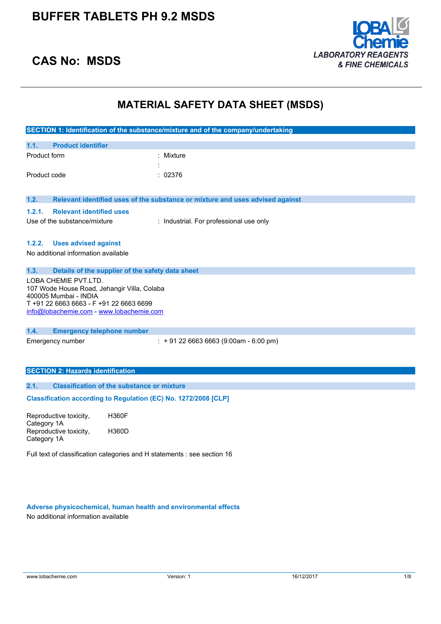

# **CAS No: MSDS**

# **MATERIAL SAFETY DATA SHEET (MSDS)**

|                                                                                                                                                                                     | SECTION 1: Identification of the substance/mixture and of the company/undertaking |  |  |
|-------------------------------------------------------------------------------------------------------------------------------------------------------------------------------------|-----------------------------------------------------------------------------------|--|--|
| <b>Product identifier</b><br>1.1.                                                                                                                                                   |                                                                                   |  |  |
| Product form                                                                                                                                                                        | Mixture                                                                           |  |  |
| Product code                                                                                                                                                                        | : 02376                                                                           |  |  |
| 1.2.                                                                                                                                                                                | Relevant identified uses of the substance or mixture and uses advised against     |  |  |
| 1.2.1.<br><b>Relevant identified uses</b>                                                                                                                                           |                                                                                   |  |  |
| Use of the substance/mixture                                                                                                                                                        | : Industrial. For professional use only                                           |  |  |
|                                                                                                                                                                                     |                                                                                   |  |  |
| <b>Uses advised against</b><br>1.2.2.                                                                                                                                               |                                                                                   |  |  |
| No additional information available                                                                                                                                                 |                                                                                   |  |  |
| 1.3.                                                                                                                                                                                | Details of the supplier of the safety data sheet                                  |  |  |
| LOBA CHEMIE PVT.LTD.<br>107 Wode House Road, Jehangir Villa, Colaba<br>400005 Mumbai - INDIA<br>T +91 22 6663 6663 - F +91 22 6663 6699<br>info@lobachemie.com - www.lobachemie.com |                                                                                   |  |  |
| 1.4.<br><b>Emergency telephone number</b>                                                                                                                                           |                                                                                   |  |  |
| Emergency number                                                                                                                                                                    | $: +912266636663(9:00am - 6:00 pm)$                                               |  |  |
|                                                                                                                                                                                     |                                                                                   |  |  |
| <b>SECTION 2: Hazards identification</b>                                                                                                                                            |                                                                                   |  |  |
| 2.1.                                                                                                                                                                                | <b>Classification of the substance or mixture</b>                                 |  |  |
|                                                                                                                                                                                     | Classification according to Regulation (EC) No. 1272/2008 [CLP]                   |  |  |
| Reproductive toxicity,<br>Category 1A                                                                                                                                               | <b>H360F</b>                                                                      |  |  |
| Reproductive toxicity,<br>Category 1A                                                                                                                                               | H360D                                                                             |  |  |
| Full text of classification categories and H statements : see section 16                                                                                                            |                                                                                   |  |  |

**Adverse physicochemical, human health and environmental effects** No additional information available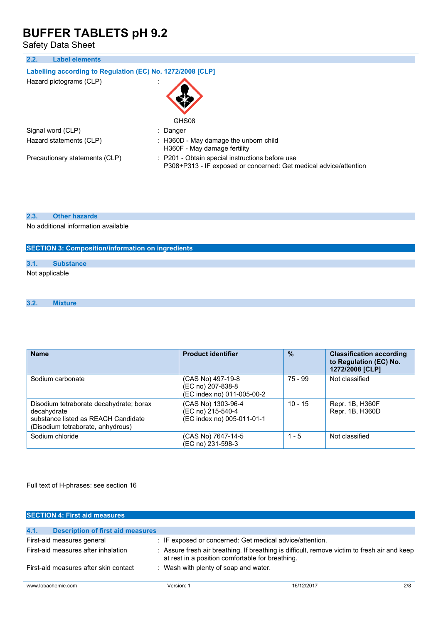Safety Data Sheet

| 2.2.<br><b>Label elements</b>                              |                                                                                                                      |
|------------------------------------------------------------|----------------------------------------------------------------------------------------------------------------------|
| Labelling according to Regulation (EC) No. 1272/2008 [CLP] |                                                                                                                      |
| Hazard pictograms (CLP)                                    | GHS08                                                                                                                |
| Signal word (CLP)                                          | : Danger                                                                                                             |
|                                                            |                                                                                                                      |
| Hazard statements (CLP)                                    | : H360D - May damage the unborn child<br>H360F - May damage fertility                                                |
| Precautionary statements (CLP)                             | : P201 - Obtain special instructions before use<br>P308+P313 - IF exposed or concerned: Get medical advice/attention |

## **2.3. Other hazards**

No additional information available

| <b>SECTION 3: Composition/information on ingredients</b> |  |  |
|----------------------------------------------------------|--|--|
|----------------------------------------------------------|--|--|

|  | vи.<br>×. | u ee |
|--|-----------|------|
|--|-----------|------|

Not applicable

## **3.2. Mixture**

| <b>Name</b>                                                                                                                        | <b>Product identifier</b>                                             | $\frac{9}{6}$ | <b>Classification according</b><br>to Regulation (EC) No.<br>1272/2008 [CLP] |
|------------------------------------------------------------------------------------------------------------------------------------|-----------------------------------------------------------------------|---------------|------------------------------------------------------------------------------|
| Sodium carbonate                                                                                                                   | (CAS No) 497-19-8<br>(EC no) 207-838-8<br>(EC index no) 011-005-00-2  | 75 - 99       | Not classified                                                               |
| Disodium tetraborate decahydrate; borax<br>decahydrate<br>substance listed as REACH Candidate<br>(Disodium tetraborate, anhydrous) | (CAS No) 1303-96-4<br>(EC no) 215-540-4<br>(EC index no) 005-011-01-1 | $10 - 15$     | Repr. 1B, H360F<br>Repr. 1B, H360D                                           |
| Sodium chloride                                                                                                                    | (CAS No) 7647-14-5<br>(EC no) 231-598-3                               | $1 - 5$       | Not classified                                                               |

Full text of H-phrases: see section 16

| <b>SECTION 4: First aid measures</b>             |                                                                                                                                                  |            |     |
|--------------------------------------------------|--------------------------------------------------------------------------------------------------------------------------------------------------|------------|-----|
|                                                  |                                                                                                                                                  |            |     |
| 4.1.<br><b>Description of first aid measures</b> |                                                                                                                                                  |            |     |
| First-aid measures general                       | : IF exposed or concerned: Get medical advice/attention.                                                                                         |            |     |
| First-aid measures after inhalation              | : Assure fresh air breathing. If breathing is difficult, remove victim to fresh air and keep<br>at rest in a position comfortable for breathing. |            |     |
| First-aid measures after skin contact            | : Wash with plenty of soap and water.                                                                                                            |            |     |
| www.lobachemie.com                               | Version: 1                                                                                                                                       | 16/12/2017 | 2/8 |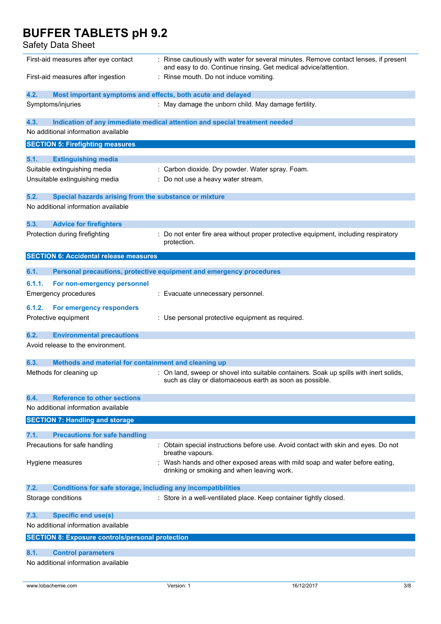| Safety Data Sheet                                                           |                                                                                                                                                         |
|-----------------------------------------------------------------------------|---------------------------------------------------------------------------------------------------------------------------------------------------------|
| First-aid measures after eye contact                                        | : Rinse cautiously with water for several minutes. Remove contact lenses, if present<br>and easy to do. Continue rinsing. Get medical advice/attention. |
| First-aid measures after ingestion                                          | : Rinse mouth. Do not induce vomiting.                                                                                                                  |
| 4.2.<br>Most important symptoms and effects, both acute and delayed         |                                                                                                                                                         |
| Symptoms/injuries                                                           | : May damage the unborn child. May damage fertility.                                                                                                    |
| 4.3.<br>No additional information available                                 | Indication of any immediate medical attention and special treatment needed                                                                              |
| <b>SECTION 5: Firefighting measures</b>                                     |                                                                                                                                                         |
| 5.1.<br><b>Extinguishing media</b>                                          |                                                                                                                                                         |
| Suitable extinguishing media                                                | : Carbon dioxide. Dry powder. Water spray. Foam.                                                                                                        |
| Unsuitable extinguishing media                                              | : Do not use a heavy water stream.                                                                                                                      |
| 5.2.<br>Special hazards arising from the substance or mixture               |                                                                                                                                                         |
| No additional information available                                         |                                                                                                                                                         |
| 5.3.<br><b>Advice for firefighters</b>                                      |                                                                                                                                                         |
| Protection during firefighting                                              | : Do not enter fire area without proper protective equipment, including respiratory<br>protection.                                                      |
| <b>SECTION 6: Accidental release measures</b>                               |                                                                                                                                                         |
| 6.1.                                                                        | Personal precautions, protective equipment and emergency procedures                                                                                     |
| 6.1.1.<br>For non-emergency personnel                                       |                                                                                                                                                         |
| <b>Emergency procedures</b>                                                 | : Evacuate unnecessary personnel.                                                                                                                       |
| 6.1.2.<br>For emergency responders                                          |                                                                                                                                                         |
| Protective equipment                                                        | : Use personal protective equipment as required.                                                                                                        |
| 6.2.<br><b>Environmental precautions</b>                                    |                                                                                                                                                         |
| Avoid release to the environment.                                           |                                                                                                                                                         |
| 6.3.<br>Methods and material for containment and cleaning up                |                                                                                                                                                         |
| Methods for cleaning up                                                     | : On land, sweep or shovel into suitable containers. Soak up spills with inert solids.<br>such as clay or diatomaceous earth as soon as possible.       |
| <b>Reference to other sections</b><br>6.4.                                  |                                                                                                                                                         |
| No additional information available                                         |                                                                                                                                                         |
| <b>SECTION 7: Handling and storage</b>                                      |                                                                                                                                                         |
| <b>Precautions for safe handling</b><br>7.1.                                |                                                                                                                                                         |
| Precautions for safe handling                                               | : Obtain special instructions before use. Avoid contact with skin and eyes. Do not<br>breathe vapours.                                                  |
| Hygiene measures                                                            | : Wash hands and other exposed areas with mild soap and water before eating,<br>drinking or smoking and when leaving work.                              |
| <b>Conditions for safe storage, including any incompatibilities</b><br>7.2. |                                                                                                                                                         |
| Storage conditions                                                          | : Store in a well-ventilated place. Keep container tightly closed.                                                                                      |
| <b>Specific end use(s)</b><br>7.3.                                          |                                                                                                                                                         |
| No additional information available                                         |                                                                                                                                                         |
| <b>SECTION 8: Exposure controls/personal protection</b>                     |                                                                                                                                                         |

No additional information available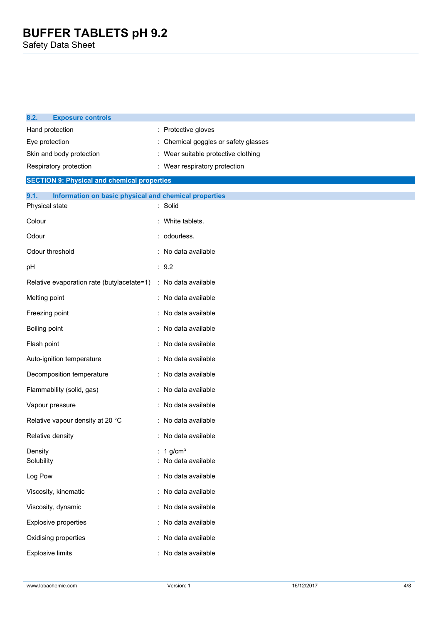| 8.2.<br><b>Exposure controls</b>                              |                                            |                                    |
|---------------------------------------------------------------|--------------------------------------------|------------------------------------|
| Hand protection                                               | : Protective gloves                        |                                    |
| Eye protection                                                |                                            | Chemical goggles or safety glasses |
| Skin and body protection                                      | Wear suitable protective clothing          |                                    |
| Respiratory protection                                        | : Wear respiratory protection              |                                    |
| <b>SECTION 9: Physical and chemical properties</b>            |                                            |                                    |
| 9.1.<br>Information on basic physical and chemical properties |                                            |                                    |
| Physical state                                                | : Solid                                    |                                    |
| Colour                                                        | : White tablets.                           |                                    |
| Odour                                                         | : odourless.                               |                                    |
| Odour threshold                                               | : No data available                        |                                    |
| pН                                                            |                                            |                                    |
| Relative evaporation rate (butylacetate=1)                    | : No data available                        |                                    |
| Melting point                                                 | : No data available                        |                                    |
| Freezing point                                                | : No data available                        |                                    |
| Boiling point                                                 | No data available                          |                                    |
| Flash point                                                   | : No data available                        |                                    |
| Auto-ignition temperature                                     | : No data available                        |                                    |
| Decomposition temperature                                     | : No data available                        |                                    |
| Flammability (solid, gas)                                     | : No data available                        |                                    |
| Vapour pressure                                               | : No data available                        |                                    |
| Relative vapour density at 20 °C                              | : No data available                        |                                    |
| Relative density                                              | : No data available                        |                                    |
| Density<br>Solubility                                         | : 1 g/cm <sup>3</sup><br>No data available |                                    |
| Log Pow                                                       | : No data available                        |                                    |
| Viscosity, kinematic                                          | : No data available                        |                                    |
| Viscosity, dynamic                                            | : No data available                        |                                    |
| <b>Explosive properties</b>                                   | : No data available                        |                                    |
| Oxidising properties                                          | : No data available                        |                                    |
| <b>Explosive limits</b>                                       | : No data available                        |                                    |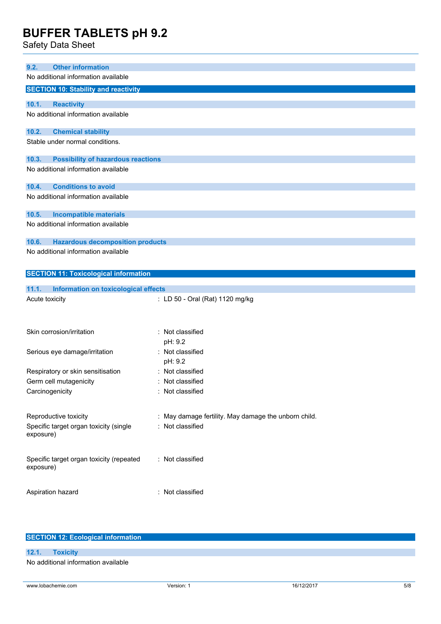Safety Data Sheet

| <b>Other information</b><br>9.2.<br>No additional information available |                                                      |
|-------------------------------------------------------------------------|------------------------------------------------------|
| <b>SECTION 10: Stability and reactivity</b>                             |                                                      |
|                                                                         |                                                      |
| 10.1.<br><b>Reactivity</b>                                              |                                                      |
| No additional information available                                     |                                                      |
| 10.2.<br><b>Chemical stability</b>                                      |                                                      |
| Stable under normal conditions.                                         |                                                      |
| 10.3.<br><b>Possibility of hazardous reactions</b>                      |                                                      |
| No additional information available                                     |                                                      |
| 10.4.<br><b>Conditions to avoid</b>                                     |                                                      |
| No additional information available                                     |                                                      |
| 10.5.<br><b>Incompatible materials</b>                                  |                                                      |
| No additional information available                                     |                                                      |
| 10.6.<br><b>Hazardous decomposition products</b>                        |                                                      |
| No additional information available                                     |                                                      |
|                                                                         |                                                      |
| <b>SECTION 11: Toxicological information</b>                            |                                                      |
| 11.1.<br>Information on toxicological effects                           |                                                      |
| Acute toxicity                                                          |                                                      |
|                                                                         | : LD 50 - Oral (Rat) 1120 mg/kg                      |
|                                                                         |                                                      |
|                                                                         |                                                      |
| Skin corrosion/irritation                                               | : Not classified                                     |
|                                                                         | pH: 9.2                                              |
| Serious eye damage/irritation                                           | : Not classified                                     |
|                                                                         | pH: 9.2                                              |
| Respiratory or skin sensitisation                                       | : Not classified                                     |
| Germ cell mutagenicity                                                  | Not classified                                       |
| Carcinogenicity                                                         | : Not classified                                     |
|                                                                         |                                                      |
|                                                                         |                                                      |
| Reproductive toxicity                                                   | : May damage fertility. May damage the unborn child. |
| Specific target organ toxicity (single<br>exposure)                     | : Not classified                                     |
|                                                                         |                                                      |
|                                                                         |                                                      |
| Specific target organ toxicity (repeated<br>exposure)                   | : Not classified                                     |
|                                                                         |                                                      |
| Aspiration hazard                                                       | : Not classified                                     |

| <b>SECTION 12: Ecological information</b> |                                     |  |  |
|-------------------------------------------|-------------------------------------|--|--|
|                                           |                                     |  |  |
|                                           | 12.1. Toxicity                      |  |  |
|                                           | No additional information available |  |  |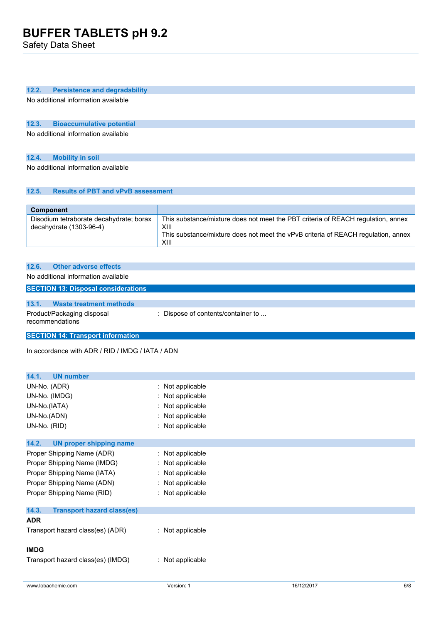Safety Data Sheet

## **12.2. Persistence and degradability**

No additional information available

## **12.3. Bioaccumulative potential**

No additional information available

# **12.4. Mobility in soil**

No additional information available

# **12.5. Results of PBT and vPvB assessment**

| <b>Component</b>                                                     |                                                                                                                                                                                       |
|----------------------------------------------------------------------|---------------------------------------------------------------------------------------------------------------------------------------------------------------------------------------|
| Disodium tetraborate decahydrate; borax<br>decahydrate $(1303-96-4)$ | This substance/mixture does not meet the PBT criteria of REACH regulation, annex<br>XIII<br>This substance/mixture does not meet the vPvB criteria of REACH regulation, annex<br>XIII |

| 12.6. | <b>Other adverse effects</b>                  |                                    |
|-------|-----------------------------------------------|------------------------------------|
|       | No additional information available           |                                    |
|       | <b>SECTION 13: Disposal considerations</b>    |                                    |
|       |                                               |                                    |
| 13.1. | Waste treatment methods                       |                                    |
|       | Product/Packaging disposal<br>recommendations | : Dispose of contents/container to |

**SECTION 14: Transport information**

In accordance with ADR / RID / IMDG / IATA / ADN

| : Not applicable<br>: Not applicable<br>: Not applicable<br>: Not applicable<br>: Not applicable |
|--------------------------------------------------------------------------------------------------|
|                                                                                                  |
| : Not applicable<br>: Not applicable<br>: Not applicable<br>: Not applicable<br>: Not applicable |
|                                                                                                  |
| : Not applicable<br>: Not applicable                                                             |
|                                                                                                  |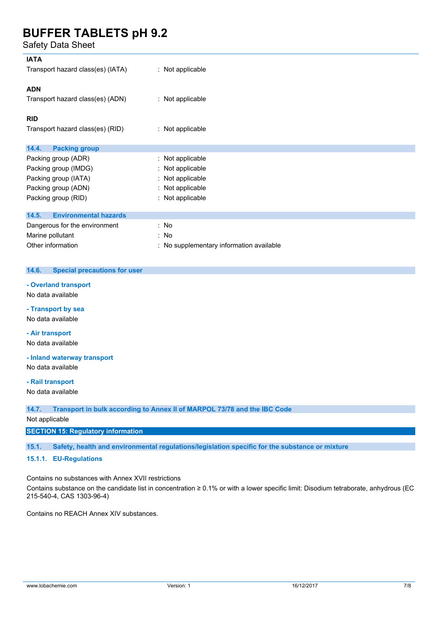Safety Data Sheet

| : Not applicable                         |
|------------------------------------------|
| : Not applicable                         |
|                                          |
| : Not applicable                         |
|                                          |
| : Not applicable                         |
| : Not applicable                         |
| : Not applicable                         |
| : Not applicable                         |
| : Not applicable                         |
|                                          |
| : No                                     |
|                                          |
| : No                                     |
| : No supplementary information available |
|                                          |

### **14.6. Special precautions for user**

#### **- Overland transport**

No data available

# **- Transport by sea**

No data available

# **- Air transport**

No data available

### **- Inland waterway transport**

No data available

### **- Rail transport**

No data available

**14.7. Transport in bulk according to Annex II of MARPOL 73/78 and the IBC Code**

### Not applicable

### **SECTION 15: Regulatory information**

**15.1. Safety, health and environmental regulations/legislation specific for the substance or mixture**

## **15.1.1. EU-Regulations**

Contains no substances with Annex XVII restrictions

Contains substance on the candidate list in concentration ≥ 0.1% or with a lower specific limit: Disodium tetraborate, anhydrous (EC 215-540-4, CAS 1303-96-4)

Contains no REACH Annex XIV substances.